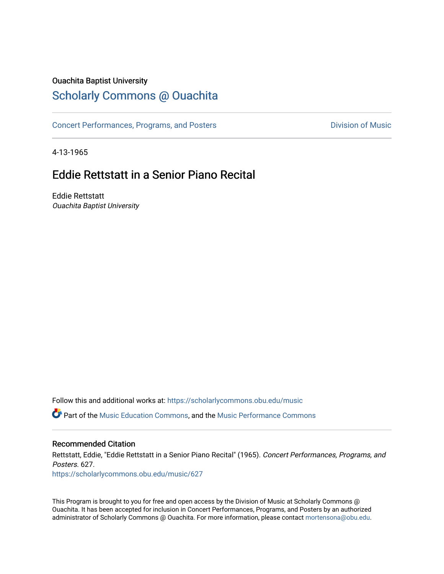# Ouachita Baptist University

# [Scholarly Commons @ Ouachita](https://scholarlycommons.obu.edu/)

[Concert Performances, Programs, and Posters](https://scholarlycommons.obu.edu/music) **Division of Music** Division of Music

4-13-1965

# Eddie Rettstatt in a Senior Piano Recital

Eddie Rettstatt Ouachita Baptist University

Follow this and additional works at: [https://scholarlycommons.obu.edu/music](https://scholarlycommons.obu.edu/music?utm_source=scholarlycommons.obu.edu%2Fmusic%2F627&utm_medium=PDF&utm_campaign=PDFCoverPages) 

**C** Part of the [Music Education Commons,](http://network.bepress.com/hgg/discipline/1246?utm_source=scholarlycommons.obu.edu%2Fmusic%2F627&utm_medium=PDF&utm_campaign=PDFCoverPages) and the Music Performance Commons

## Recommended Citation

Rettstatt, Eddie, "Eddie Rettstatt in a Senior Piano Recital" (1965). Concert Performances, Programs, and Posters. 627.

[https://scholarlycommons.obu.edu/music/627](https://scholarlycommons.obu.edu/music/627?utm_source=scholarlycommons.obu.edu%2Fmusic%2F627&utm_medium=PDF&utm_campaign=PDFCoverPages) 

This Program is brought to you for free and open access by the Division of Music at Scholarly Commons @ Ouachita. It has been accepted for inclusion in Concert Performances, Programs, and Posters by an authorized administrator of Scholarly Commons @ Ouachita. For more information, please contact [mortensona@obu.edu](mailto:mortensona@obu.edu).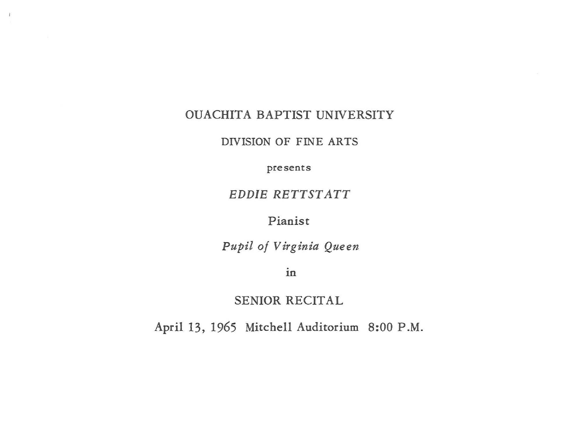#### OUACHITA BAPTIST UNIVERSITY

 $\,$   $\,$ 

DIVISION OF FINE ARTS

presents

#### EDDIE RETTSTATT

## Pianist

*Pupil of Virginia Queen* 

1n

### SENIOR RECITAL

April 13, 1965 Mitchell Auditorium 8:00 P.M.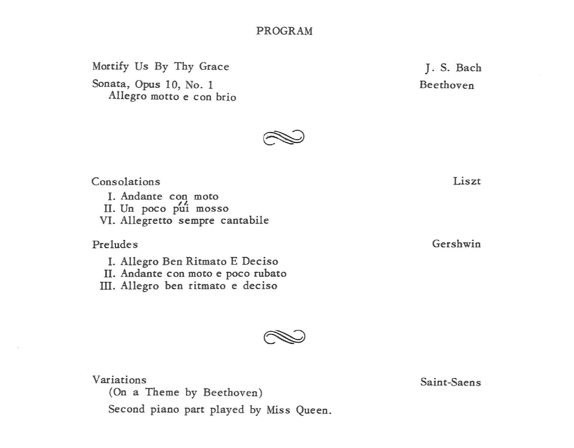#### PROGRAM

Mortify Us By Thy Grace Sonata, Opus 10, No. 1

Allegro motto e con brio

J. S. Bach Beethoven

Consolations I. Andante con moto<br>*II.* Un poco pui mosso VI. Allegretto sempre cantabile

Preludes

I. Allegro Ben Ritmato E Deciso II. Andante con moto e poco rubato

III. Allegro ben ritmato e deciso

Liszt

Gershwin

Saint-Saens

Variations

(On a Theme by Beethoven)

Second piano part played by Miss Queen.